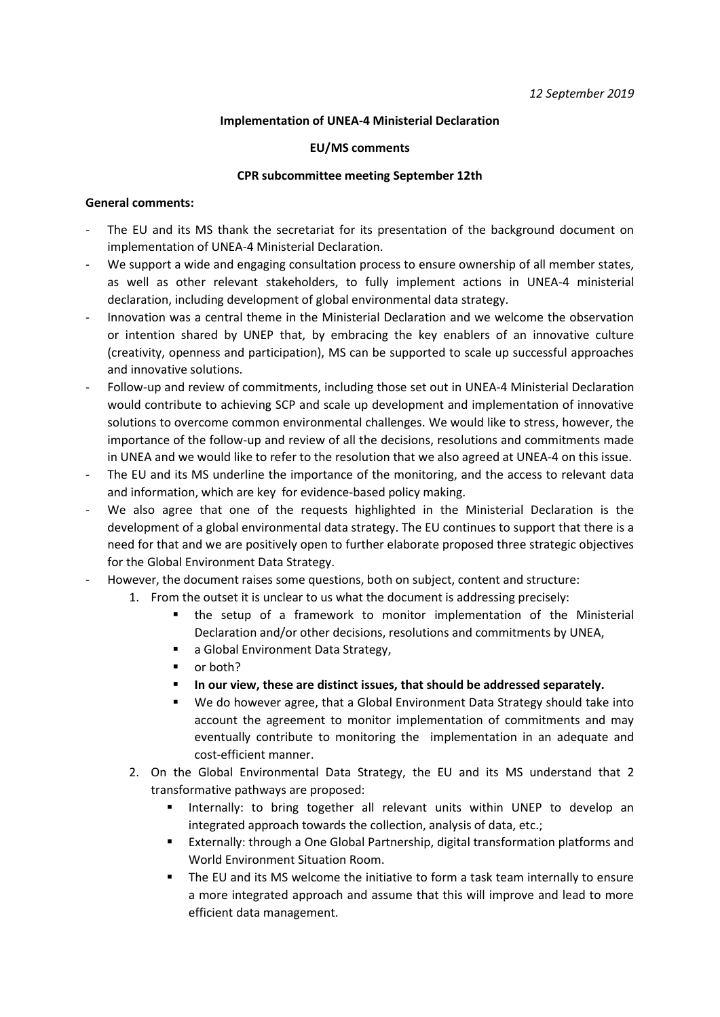## **Implementation of UNEA-4 Ministerial Declaration**

#### **EU/MS comments**

#### **CPR subcommittee meeting September 12th**

### **General comments:**

- The EU and its MS thank the secretariat for its presentation of the background document on implementation of UNEA-4 Ministerial Declaration.
- We support a wide and engaging consultation process to ensure ownership of all member states, as well as other relevant stakeholders, to fully implement actions in UNEA-4 ministerial declaration, including development of global environmental data strategy.
- Innovation was a central theme in the Ministerial Declaration and we welcome the observation or intention shared by UNEP that, by embracing the key enablers of an innovative culture (creativity, openness and participation), MS can be supported to scale up successful approaches and innovative solutions.
- Follow-up and review of commitments, including those set out in UNEA-4 Ministerial Declaration would contribute to achieving SCP and scale up development and implementation of innovative solutions to overcome common environmental challenges. We would like to stress, however, the importance of the follow-up and review of all the decisions, resolutions and commitments made in UNEA and we would like to refer to the resolution that we also agreed at UNEA-4 on this issue.
- The EU and its MS underline the importance of the monitoring, and the access to relevant data and information, which are key for evidence-based policy making.
- We also agree that one of the requests highlighted in the Ministerial Declaration is the development of a global environmental data strategy. The EU continues to support that there is a need for that and we are positively open to further elaborate proposed three strategic objectives for the Global Environment Data Strategy.
- However, the document raises some questions, both on subject, content and structure:
	- 1. From the outset it is unclear to us what the document is addressing precisely:
		- the setup of a framework to monitor implementation of the Ministerial Declaration and/or other decisions, resolutions and commitments by UNEA,
		- a Global Environment Data Strategy,
		- or both?
		- In our view, these are distinct issues, that should be addressed separately.
		- We do however agree, that a Global Environment Data Strategy should take into account the agreement to monitor implementation of commitments and may eventually contribute to monitoring the implementation in an adequate and cost-efficient manner.
	- 2. On the Global Environmental Data Strategy, the EU and its MS understand that 2 transformative pathways are proposed:
		- Internally: to bring together all relevant units within UNEP to develop an integrated approach towards the collection, analysis of data, etc.;
		- Externally: through a One Global Partnership, digital transformation platforms and World Environment Situation Room.
		- The EU and its MS welcome the initiative to form a task team internally to ensure a more integrated approach and assume that this will improve and lead to more efficient data management.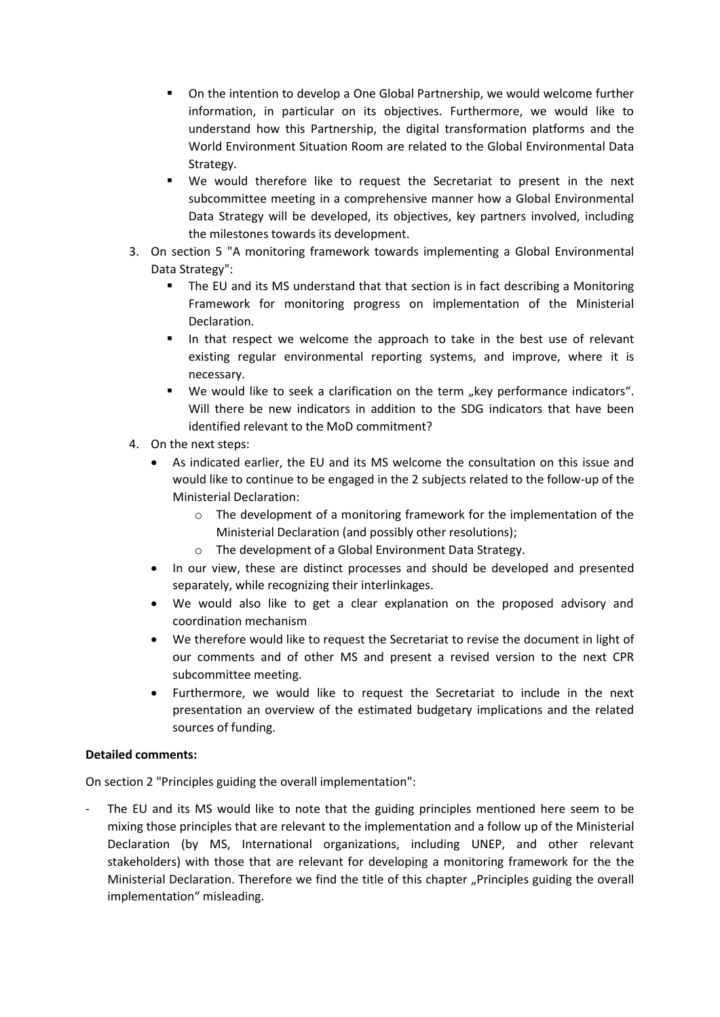- On the intention to develop a One Global Partnership, we would welcome further information, in particular on its objectives. Furthermore, we would like to understand how this Partnership, the digital transformation platforms and the World Environment Situation Room are related to the Global Environmental Data Strategy.
- We would therefore like to request the Secretariat to present in the next subcommittee meeting in a comprehensive manner how a Global Environmental Data Strategy will be developed, its objectives, key partners involved, including the milestones towards its development.
- 3. On section 5 "A monitoring framework towards implementing a Global Environmental Data Strategy":
	- The EU and its MS understand that that section is in fact describing a Monitoring Framework for monitoring progress on implementation of the Ministerial Declaration.
	- In that respect we welcome the approach to take in the best use of relevant existing regular environmental reporting systems, and improve, where it is necessary.
	- We would like to seek a clarification on the term "key performance indicators". Will there be new indicators in addition to the SDG indicators that have been identified relevant to the MoD commitment?
- 4. On the next steps:
	- As indicated earlier, the EU and its MS welcome the consultation on this issue and would like to continue to be engaged in the 2 subjects related to the follow-up of the Ministerial Declaration:
		- $\circ$  The development of a monitoring framework for the implementation of the Ministerial Declaration (and possibly other resolutions);
		- o The development of a Global Environment Data Strategy.
	- In our view, these are distinct processes and should be developed and presented separately, while recognizing their interlinkages.
	- We would also like to get a clear explanation on the proposed advisory and coordination mechanism
	- We therefore would like to request the Secretariat to revise the document in light of our comments and of other MS and present a revised version to the next CPR subcommittee meeting.
	- Furthermore, we would like to request the Secretariat to include in the next presentation an overview of the estimated budgetary implications and the related sources of funding.

# **Detailed comments:**

On section 2 "Principles guiding the overall implementation":

The EU and its MS would like to note that the guiding principles mentioned here seem to be mixing those principles that are relevant to the implementation and a follow up of the Ministerial Declaration (by MS, International organizations, including UNEP, and other relevant stakeholders) with those that are relevant for developing a monitoring framework for the the Ministerial Declaration. Therefore we find the title of this chapter "Principles guiding the overall implementation" misleading.